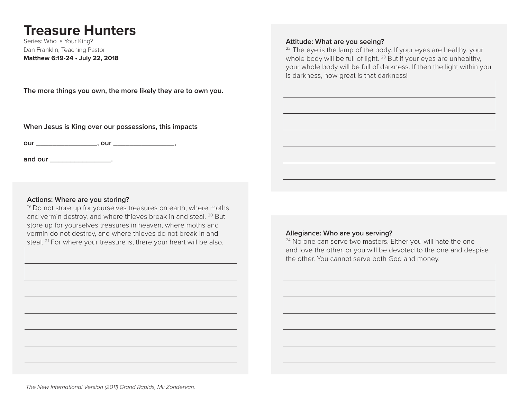# **Treasure Hunters**

Series: Who is Your King? Dan Franklin, Teaching Pastor **Matthew 6:19-24 • July 22, 2018**

**The more things you own, the more likely they are to own you.**

**When Jesus is King over our possessions, this impacts**

**our \_\_\_\_\_\_\_\_\_\_\_\_\_\_\_, our \_\_\_\_\_\_\_\_\_\_\_\_\_\_\_,**

and our **and our** 

### **Actions: Where are you storing?**

<sup>19</sup> Do not store up for yourselves treasures on earth, where moths and vermin destroy, and where thieves break in and steal. <sup>20</sup> But store up for yourselves treasures in heaven, where moths and vermin do not destroy, and where thieves do not break in and steal. <sup>21</sup> For where your treasure is, there your heart will be also.

**Attitude: What are you seeing?**

 $22$  The eye is the lamp of the body. If your eyes are healthy, your whole body will be full of light. <sup>23</sup> But if your eyes are unhealthy, your whole body will be full of darkness. If then the light within you is darkness, how great is that darkness!

## **Allegiance: Who are you serving?**

<sup>24</sup> No one can serve two masters. Either you will hate the one and love the other, or you will be devoted to the one and despise the other. You cannot serve both God and money.